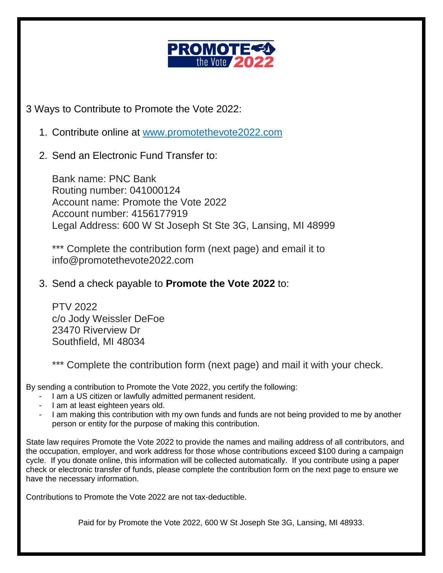

3 Ways to Contribute to Promote the Vote 2022:

- 1. Contribute online at [www.promotethevote2022.com](http://www.promotethevote2022.com/)
- 2. Send an Electronic Fund Transfer to:

Bank name: PNC Bank Routing number: 041000124 Account name: Promote the Vote 2022 Account number: 4156177919 Legal Address: 600 W St Joseph St Ste 3G, Lansing, MI 48999

\*\*\* Complete the contribution form (next page) and email it to info@promotethevote2022.com

## 3. Send a check payable to **Promote the Vote 2022** to:

PTV 2022 c/o Jody Weissler DeFoe 23470 Riverview Dr Southfield, MI 48034

\*\*\* Complete the contribution form (next page) and mail it with your check.

By sending a contribution to Promote the Vote 2022, you certify the following:

- I am a US citizen or lawfully admitted permanent resident.
- I am at least eighteen years old.
- I am making this contribution with my own funds and funds are not being provided to me by another person or entity for the purpose of making this contribution.

State law requires Promote the Vote 2022 to provide the names and mailing address of all contributors, and the occupation, employer, and work address for those whose contributions exceed \$100 during a campaign cycle. If you donate online, this information will be collected automatically. If you contribute using a paper check or electronic transfer of funds, please complete the contribution form on the next page to ensure we have the necessary information.

Contributions to Promote the Vote 2022 are not tax-deductible.

Paid for by Promote the Vote 2022, 600 W St Joseph Ste 3G, Lansing, MI 48933.